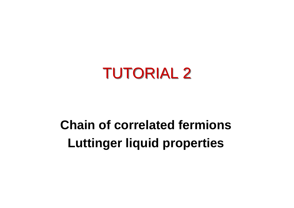

### **Chain of correlated fermions Luttinger liquid properties**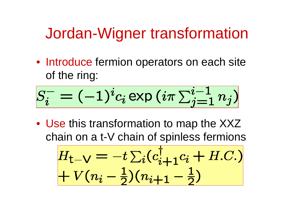#### Jordan-Wigner transformation

• Introduce fermion operators on each site of the ring:

$$
S_i^- = (-1)^i c_i \exp{(i\pi \sum_{j=1}^{i-1} n_j)}
$$

• Use this transformation to map the XXZ chain on a t-V chain of spinless fermions

$$
H_{t-V} = -t \sum_{i} (c_{i+1}^{\dagger} c_i + H.C.)
$$
  
+  $V(n_i - \frac{1}{2})(n_{i+1} - \frac{1}{2})$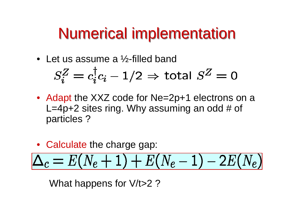## **Numerical implementation**

• Let us assume a ½-filled band

$$
S_i^Z = c_i^{\dagger} c_i - 1/2 \Rightarrow \text{total } S^Z = 0
$$

- Adapt the XXZ code for Ne=2p+1 electrons on a L=4p+2 sites ring. Why assuming an odd  $#$  of particles ?
- Calculate the charge gap:

$$
\Delta_c=E(N_e+1)+E(N_e-1)-2E(N_e)
$$

What happens for V/t>2?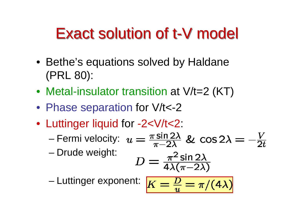# Exact solution of t-V model

- Bethe's equations solved by Haldane (PRL 80):
- Metal-insulator transition at V/t=2 (KT)
- Phase separation for V/t<-2
- Luttinger liquid for -2<V/t<2:
	- –Fermi velocity:
	- –Drude weight:

$$
D = \frac{\pi^2 \sin 2\lambda}{4\lambda(\pi - 2\lambda)}
$$

–Luttinger exponent:

$$
K=\tfrac{D}{u}=\pi/(4\lambda)
$$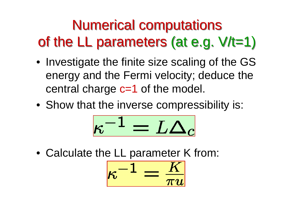### Numerical computations Numerical computations of the LL parameters (at e.g. V/t=1) of the LL parameters (at e.g. V/t=1)

- Investigate the finite size scaling of the GS energy and the Fermi velocity; deduce the central charge c=1 of the model.
- Show that the inverse compressibility is:

$$
\kappa^{-1} = L \Delta_c
$$

• Calculate the LL parameter K from:

$$
\kappa^{-1}=\tfrac{K}{\pi u}
$$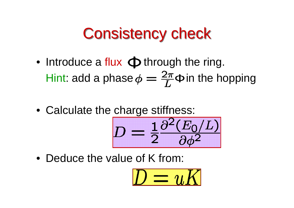# **Consistency check**

- Introduce a flux  $\Phi$  through the ring. Hint: add a phase  $\phi = \frac{2\pi}{L} \Phi$  in the hopping
- Calculate the charge stiffness:

$$
D = \frac{1}{2} \frac{\partial^2 (E_0/L)}{\partial \phi^2}
$$

• Deduce the value of K from:

$$
D=uK
$$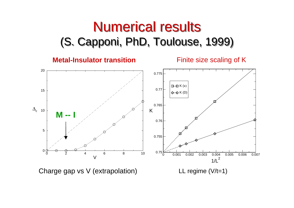#### Numerical results Numerical results (S. Capponi, PhD, Toulouse, 1999) (S. Capponi, PhD, Toulouse, 1999)